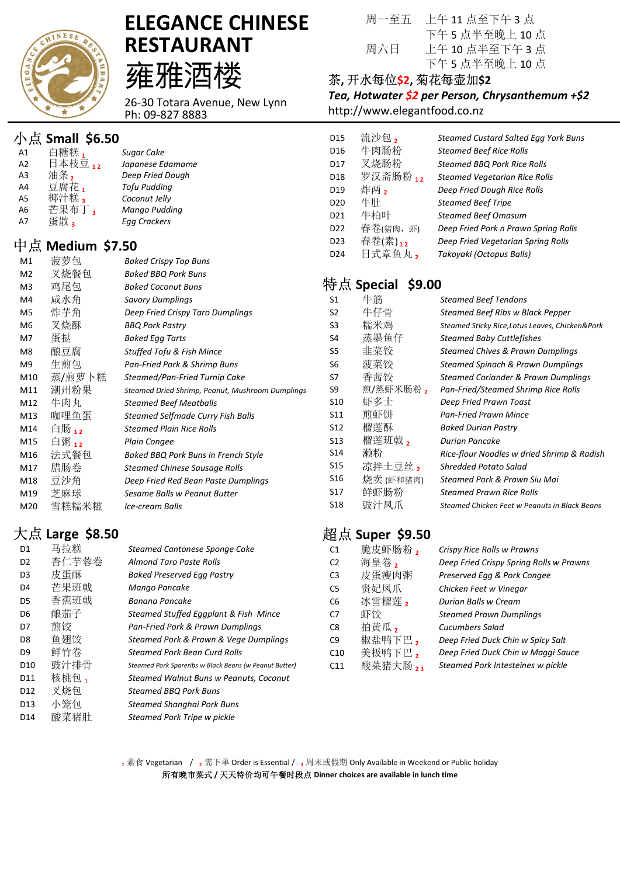

# ELEGANCE CHINESE RESTAURANT 雍雅酒楼

26-30 Totara Avenue, New Lynn Ph: 09-827 8883

## 小点 Small \$6.50

| A <sub>1</sub> | 白糖糕,    | Sugar Cake          |
|----------------|---------|---------------------|
| A <sub>2</sub> | 日本枝豆 12 | Japanese Edamame    |
| A <sub>3</sub> | 油条,     | Deep Fried Dough    |
| A4             | 豆腐花,    | <b>Tofu Pudding</b> |
| A5             | 椰汁糕。    | Coconut Jelly       |
| A <sub>6</sub> | 芒果布丁。   | Mango Pudding       |
| A7             | 蛋散。     | <b>Egg Crackers</b> |

## 中点 Medium \$7.50

| M1             | 菠萝包    | <b>Baked Crispy Top Buns</b>                     |
|----------------|--------|--------------------------------------------------|
| M <sub>2</sub> | 叉烧餐包   | <b>Baked BBQ Pork Buns</b>                       |
| M3             | 鸡尾包    | <b>Baked Coconut Buns</b>                        |
| M4             | 咸水角    | <b>Savory Dumplings</b>                          |
| M5             | 炸芋角    | Deep Fried Crispy Taro Dumplings                 |
| M6             | 叉烧酥    | <b>BBQ Pork Pastry</b>                           |
| M7             | 蛋挞     | <b>Baked Egg Tarts</b>                           |
| M8             | 酿豆腐    | <b>Stuffed Tofu &amp; Fish Mince</b>             |
| M9             | 生煎包    | Pan-Fried Pork & Shrimp Buns                     |
| M10            | 蒸/煎萝卜糕 | Steamed/Pan-Fried Turnip Cake                    |
| M11            | 潮州粉果   | Steamed Dried Shrimp, Peanut, Mushroom Dumplings |
| M12            | 牛肉丸    | <b>Steamed Beef Meatballs</b>                    |
| M13            | 咖哩鱼蛋   | Steamed Selfmade Curry Fish Balls                |
| M14            | 白肠 12  | <b>Steamed Plain Rice Rolls</b>                  |
| M15            | 白粥 12  | <b>Plain Congee</b>                              |
| M16            | 法式餐包   | Baked BBQ Pork Buns in French Style              |
| M17            | 腊肠卷    | <b>Steamed Chinese Sausage Rolls</b>             |
| M18            | 豆沙角    | Deep Fried Red Bean Paste Dumplings              |
| M19            | 芝麻球    | Sesame Balls w Peanut Butter                     |
| M20            | 雪糕糯米糍  | Ice-cream Balls                                  |

## 大点 Large \$8.50

| D1              | 马拉糕   | Steamed Cantonese Sponge Cake                          |
|-----------------|-------|--------------------------------------------------------|
| D <sub>2</sub>  | 杏仁芋蓉卷 | <b>Almond Taro Paste Rolls</b>                         |
| D3              | 皮蛋酥   | <b>Baked Preserved Egg Pastry</b>                      |
| D4              | 芒果班戟  | Mango Pancake                                          |
| D5              | 香蕉班戟  | Banana Pancake                                         |
| D6              | 酿茄子   | Steamed Stuffed Eggplant & Fish Mince                  |
| D7              | 煎饺    | Pan-Fried Pork & Prawn Dumplings                       |
| D8              | 鱼翅饺   | Steamed Pork & Prawn & Vege Dumplings                  |
| D9              | 鲜竹券   | Steamed Pork Bean Curd Rolls                           |
| D10             | 豉汁排骨  | Steamed Pork Spareribs w Black Beans (w Peanut Butter) |
| D11             | 核桃包」  | Steamed Walnut Buns w Peanuts, Coconut                 |
| D12             | 叉烧包   | <b>Steamed BBO Pork Buns</b>                           |
| D <sub>13</sub> | 小笼包   | Steamed Shanghai Pork Buns                             |
| D14             | 酸菜猪肚  | Steamed Pork Tripe w pickle                            |

周一至五 上午 11 点至下午 3 点 下午 5 点半至晚上 10 点 周六日 上午 10 点半至下午 3 点 下午 5 点半至晚上 10 点

#### 茶, 开水每位\$2, 菊花每壶加\$2

Tea, Hotwater \$2 per Person, Chrysanthemum +\$2 http://www.elegantfood.co.nz

| D <sub>15</sub> | 流沙包,     | Steamed Custard Salted Egg York Buns |
|-----------------|----------|--------------------------------------|
| D <sub>16</sub> | 牛肉肠粉     | <b>Steamed Beef Rice Rolls</b>       |
| D17             | 叉烧肠粉     | <b>Steamed BBQ Pork Rice Rolls</b>   |
| D <sub>18</sub> | 罗汉斋肠粉 12 | <b>Steamed Vegetarian Rice Rolls</b> |
| D <sub>19</sub> | 炸两,      | Deep Fried Dough Rice Rolls          |
| D <sub>20</sub> | 牛肚       | <b>Steamed Beef Tripe</b>            |
| D <sub>21</sub> | 牛柏叶      | <b>Steamed Beef Omasum</b>           |
| D <sub>22</sub> | 春卷(猪肉,虾) | Deep Fried Pork n Prawn Spring Rolls |
| D <sub>23</sub> | 春卷(素)12  | Deep Fried Vegetarian Spring Rolls   |
| D <sub>24</sub> | 日式章鱼丸2   | Takoyaki (Octopus Balls)             |

# 特点 Special \$9.00

| S1              | 牛筋        | Steamed Beef Tendons                            |
|-----------------|-----------|-------------------------------------------------|
| S2              | 牛仔骨       | Steamed Beef Ribs w Black Pepper                |
| S3              | 糯米鸡       | Steamed Sticky Rice, Lotus Leaves, Chicken&Pork |
| S4              | 蒸墨鱼仔      | <b>Steamed Baby Cuttlefishes</b>                |
| S5              | 非菜饺       | Steamed Chives & Prawn Dumplings                |
| S6              | 菠菜饺       | Steamed Spinach & Prawn Dumplings               |
| S7              | 香茜饺       | Steamed Coriander & Prawn Dumplings             |
| S9              | 煎/蒸虾米肠粉,  | Pan-Fried/Steamed Shrimp Rice Rolls             |
| S <sub>10</sub> | 虾多士       | Deep Fried Prawn Toast                          |
| S <sub>11</sub> | 煎虾饼       | <b>Pan-Fried Prawn Mince</b>                    |
| <b>S12</b>      | 榴莲酥       | <b>Baked Durian Pastry</b>                      |
| S <sub>13</sub> | 榴莲班戟,     | Durian Pancake                                  |
| S <sub>14</sub> | 濑粉        | Rice-flour Noodles w dried Shrimp & Radish      |
| S <sub>15</sub> | 凉拌土豆丝,    | <b>Shredded Potato Salad</b>                    |
| S <sub>16</sub> | 烧卖 (虾和猪肉) | Steamed Pork & Prawn Siu Mai                    |
| S <sub>17</sub> | 鲜虾肠粉      | <b>Steamed Prawn Rice Rolls</b>                 |
| S18             | 豉汁凤爪      | Steamed Chicken Feet w Peanuts in Black Beans   |
|                 |           |                                                 |

## 超点 Super \$9.50

| C <sub>1</sub>  | 脆皮虾肠粉,   | Crispy Rice Rolls w Prawns              |
|-----------------|----------|-----------------------------------------|
| C <sub>2</sub>  | 海皇卷,     | Deep Fried Crispy Spring Rolls w Prawns |
| C <sub>3</sub>  | 皮蛋瘦肉粥    | Preserved Egg & Pork Congee             |
| C <sub>5</sub>  | 贵妃凤爪     | Chicken Feet w Vinegar                  |
| C <sub>6</sub>  | 冰雪榴莲,    | Durian Balls w Cream                    |
| C <sub>7</sub>  | 虾饺       | <b>Steamed Prawn Dumplings</b>          |
| C <sub>8</sub>  | 拍黄瓜,     | Cucumbers Salad                         |
| C9              | 椒盐鸭下巴,   | Deep Fried Duck Chin w Spicy Salt       |
| C10             | 美极鸭下巴,   | Deep Fried Duck Chin w Maggi Sauce      |
| C <sub>11</sub> | 酸菜猪大肠 23 | Steamed Pork Intesteines w pickle       |

 $_1$  素食 Vegetarian /  $_2$  需下单 Order is Essential /  $_3$  周末或假期 Only Available in Weekend or Public holiday 所有晚市菜式 / 天天特价均可午餐时段点 Dinner choices are available in lunch time